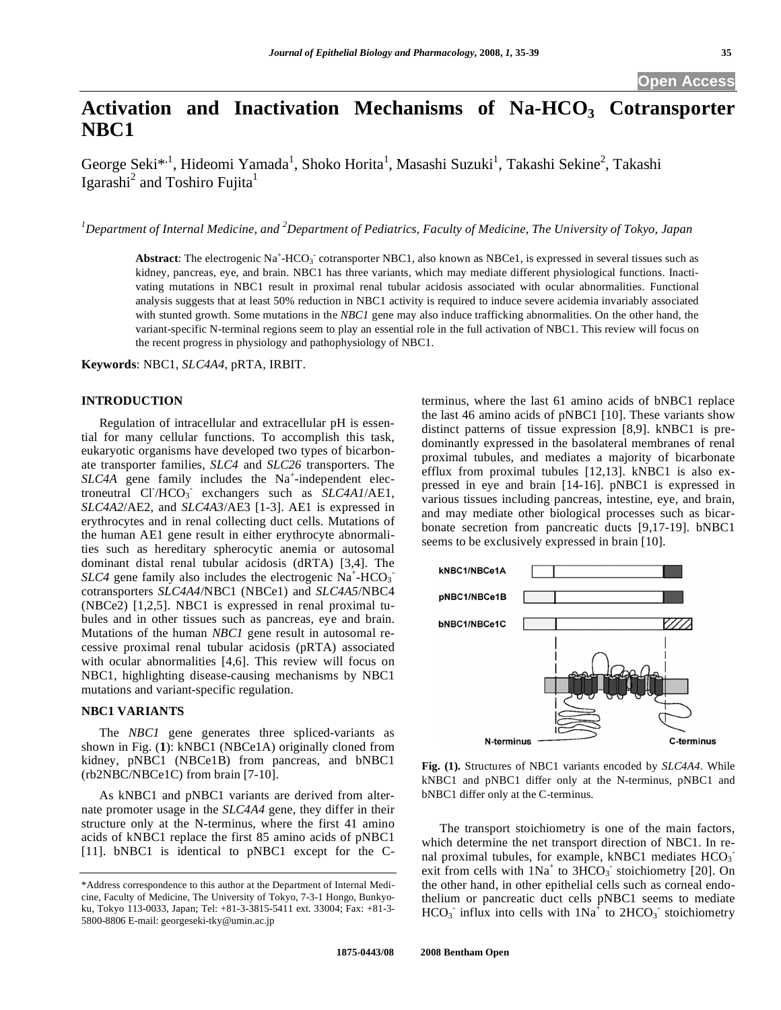# Activation and Inactivation Mechanisms of Na-HCO<sub>3</sub> Cotransporter **NBC1**

George Seki<sup>\*, 1</sup>, Hideomi Yamada<sup>1</sup>, Shoko Horita<sup>1</sup>, Masashi Suzuki<sup>1</sup>, Takashi Sekine<sup>2</sup>, Takashi Igarashi<sup>2</sup> and Toshiro Fujita<sup>1</sup>

*1 Department of Internal Medicine, and 2 Department of Pediatrics, Faculty of Medicine, The University of Tokyo, Japan* 

Abstract: The electrogenic Na<sup>+</sup>-HCO<sub>3</sub> cotransporter NBC1, also known as NBCe1, is expressed in several tissues such as kidney, pancreas, eye, and brain. NBC1 has three variants, which may mediate different physiological functions. Inactivating mutations in NBC1 result in proximal renal tubular acidosis associated with ocular abnormalities. Functional analysis suggests that at least 50% reduction in NBC1 activity is required to induce severe acidemia invariably associated with stunted growth. Some mutations in the *NBC1* gene may also induce trafficking abnormalities. On the other hand, the variant-specific N-terminal regions seem to play an essential role in the full activation of NBC1. This review will focus on the recent progress in physiology and pathophysiology of NBC1.

**Keywords**: NBC1, *SLC4A4*, pRTA, IRBIT.

## **INTRODUCTION**

 Regulation of intracellular and extracellular pH is essential for many cellular functions. To accomplish this task, eukaryotic organisms have developed two types of bicarbonate transporter families, *SLC4* and *SLC26* transporters. The  $SLC4A$  gene family includes the  $Na^+$ -independent electroneutral Cl<sup>-</sup>/HCO<sub>3</sub> exchangers such as *SLC4A1*/AE1, *SLC4A2*/AE2, and *SLC4A3*/AE3 [1-3]. AE1 is expressed in erythrocytes and in renal collecting duct cells. Mutations of the human AE1 gene result in either erythrocyte abnormalities such as hereditary spherocytic anemia or autosomal dominant distal renal tubular acidosis (dRTA) [3,4]. The  $SLC4$  gene family also includes the electrogenic  $Na^+$ -HCO<sub>3</sub> cotransporters *SLC4A4*/NBC1 (NBCe1) and *SLC4A5*/NBC4 (NBCe2) [1,2,5]. NBC1 is expressed in renal proximal tubules and in other tissues such as pancreas, eye and brain. Mutations of the human *NBC1* gene result in autosomal recessive proximal renal tubular acidosis (pRTA) associated with ocular abnormalities [4,6]. This review will focus on NBC1, highlighting disease-causing mechanisms by NBC1 mutations and variant-specific regulation.

## **NBC1 VARIANTS**

The *NBC1* gene generates three spliced-variants as shown in Fig. (**1**): kNBC1 (NBCe1A) originally cloned from kidney, pNBC1 (NBCe1B) from pancreas, and bNBC1 (rb2NBC/NBCe1C) from brain [7-10].

 As kNBC1 and pNBC1 variants are derived from alternate promoter usage in the *SLC4A4* gene, they differ in their structure only at the N-terminus, where the first 41 amino acids of kNBC1 replace the first 85 amino acids of pNBC1 [11]. bNBC1 is identical to pNBC1 except for the C-

terminus, where the last 61 amino acids of bNBC1 replace the last 46 amino acids of pNBC1 [10]. These variants show distinct patterns of tissue expression [8,9]. kNBC1 is predominantly expressed in the basolateral membranes of renal proximal tubules, and mediates a majority of bicarbonate efflux from proximal tubules [12,13]. kNBC1 is also expressed in eye and brain [14-16]. pNBC1 is expressed in various tissues including pancreas, intestine, eye, and brain, and may mediate other biological processes such as bicarbonate secretion from pancreatic ducts [9,17-19]. bNBC1 seems to be exclusively expressed in brain [10].



**Fig. (1).** Structures of NBC1 variants encoded by *SLC4A4*. While kNBC1 and pNBC1 differ only at the N-terminus, pNBC1 and bNBC1 differ only at the C-terminus.

 The transport stoichiometry is one of the main factors, which determine the net transport direction of NBC1. In renal proximal tubules, for example, kNBC1 mediates  $HCO<sub>3</sub>$ exit from cells with  $1Na<sup>+</sup>$  to  $3HCO<sub>3</sub>$ <sup>-</sup> stoichiometry [20]. On the other hand, in other epithelial cells such as corneal endothelium or pancreatic duct cells pNBC1 seems to mediate  $HCO<sub>3</sub>$  influx into cells with  $1Na<sup>2</sup>$  to  $2HCO<sub>3</sub>$  stoichiometry

<sup>\*</sup>Address correspondence to this author at the Department of Internal Medicine, Faculty of Medicine, The University of Tokyo, 7-3-1 Hongo, Bunkyoku, Tokyo 113-0033, Japan; Tel: +81-3-3815-5411 ext. 33004; Fax: +81-3- 5800-8806 E-mail: georgeseki-tky@umin.ac.jp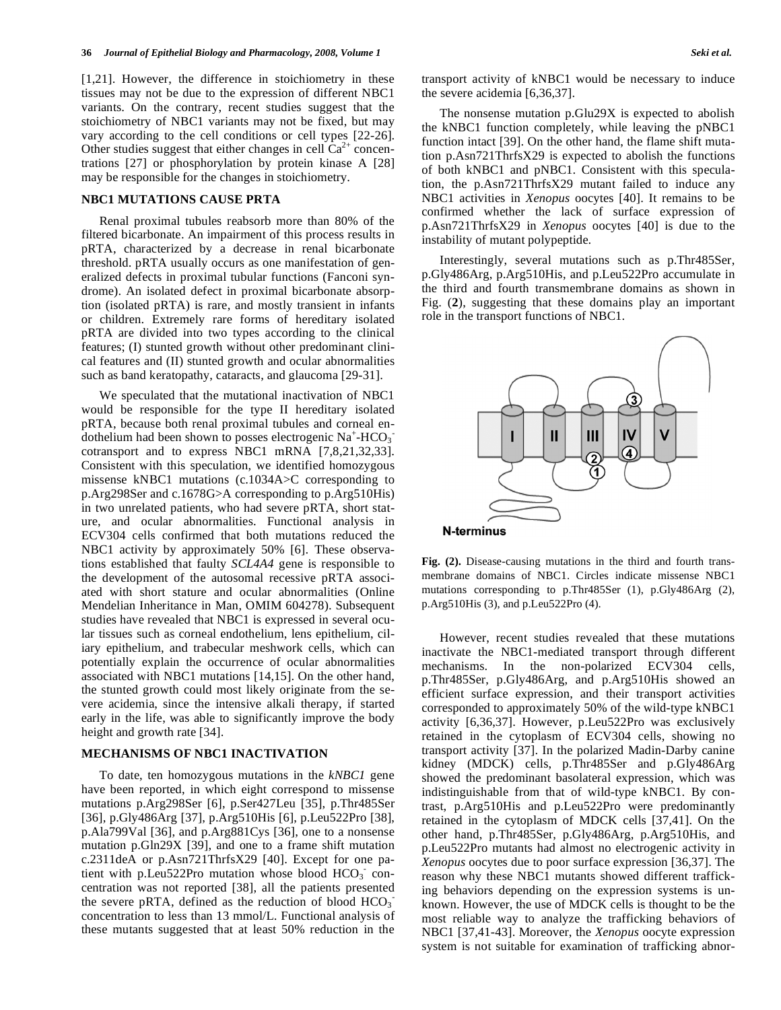[1,21]. However, the difference in stoichiometry in these tissues may not be due to the expression of different NBC1 variants. On the contrary, recent studies suggest that the stoichiometry of NBC1 variants may not be fixed, but may vary according to the cell conditions or cell types [22-26]. Other studies suggest that either changes in cell  $Ca^{2+}$  concentrations [27] or phosphorylation by protein kinase A [28] may be responsible for the changes in stoichiometry.

## **NBC1 MUTATIONS CAUSE PRTA**

 Renal proximal tubules reabsorb more than 80% of the filtered bicarbonate. An impairment of this process results in pRTA, characterized by a decrease in renal bicarbonate threshold. pRTA usually occurs as one manifestation of generalized defects in proximal tubular functions (Fanconi syndrome). An isolated defect in proximal bicarbonate absorption (isolated pRTA) is rare, and mostly transient in infants or children. Extremely rare forms of hereditary isolated pRTA are divided into two types according to the clinical features; (I) stunted growth without other predominant clinical features and (II) stunted growth and ocular abnormalities such as band keratopathy, cataracts, and glaucoma [29-31].

 We speculated that the mutational inactivation of NBC1 would be responsible for the type II hereditary isolated pRTA, because both renal proximal tubules and corneal endothelium had been shown to posses electrogenic  $Na^+$ -HCO<sub>3</sub> cotransport and to express NBC1 mRNA [7,8,21,32,33]. Consistent with this speculation, we identified homozygous missense kNBC1 mutations (c.1034A>C corresponding to p.Arg298Ser and c.1678G>A corresponding to p.Arg510His) in two unrelated patients, who had severe pRTA, short stature, and ocular abnormalities. Functional analysis in ECV304 cells confirmed that both mutations reduced the NBC1 activity by approximately 50% [6]. These observations established that faulty *SCL4A4* gene is responsible to the development of the autosomal recessive pRTA associated with short stature and ocular abnormalities (Online Mendelian Inheritance in Man, OMIM 604278). Subsequent studies have revealed that NBC1 is expressed in several ocular tissues such as corneal endothelium, lens epithelium, ciliary epithelium, and trabecular meshwork cells, which can potentially explain the occurrence of ocular abnormalities associated with NBC1 mutations [14,15]. On the other hand, the stunted growth could most likely originate from the severe acidemia, since the intensive alkali therapy, if started early in the life, was able to significantly improve the body height and growth rate [34].

## **MECHANISMS OF NBC1 INACTIVATION**

 To date, ten homozygous mutations in the *kNBC1* gene have been reported, in which eight correspond to missense mutations p.Arg298Ser [6], p.Ser427Leu [35], p.Thr485Ser [36], p.Gly486Arg [37], p.Arg510His [6], p.Leu522Pro [38], p.Ala799Val [36], and p.Arg881Cys [36], one to a nonsense mutation p.Gln29X [39], and one to a frame shift mutation c.2311deA or p.Asn721ThrfsX29 [40]. Except for one patient with p.Leu522Pro mutation whose blood HCO<sub>3</sub> concentration was not reported [38], all the patients presented the severe pRTA, defined as the reduction of blood  $HCO<sub>3</sub>$ concentration to less than 13 mmol/L. Functional analysis of these mutants suggested that at least 50% reduction in the transport activity of kNBC1 would be necessary to induce the severe acidemia [6,36,37].

 The nonsense mutation p.Glu29X is expected to abolish the kNBC1 function completely, while leaving the pNBC1 function intact [39]. On the other hand, the flame shift mutation p.Asn721ThrfsX29 is expected to abolish the functions of both kNBC1 and pNBC1. Consistent with this speculation, the p.Asn721ThrfsX29 mutant failed to induce any NBC1 activities in *Xenopus* oocytes [40]. It remains to be confirmed whether the lack of surface expression of p.Asn721ThrfsX29 in *Xenopus* oocytes [40] is due to the instability of mutant polypeptide.

 Interestingly, several mutations such as p.Thr485Ser, p.Gly486Arg, p.Arg510His, and p.Leu522Pro accumulate in the third and fourth transmembrane domains as shown in Fig. (**2**), suggesting that these domains play an important role in the transport functions of NBC1.



**Fig. (2).** Disease-causing mutations in the third and fourth transmembrane domains of NBC1. Circles indicate missense NBC1 mutations corresponding to p.Thr485Ser (1), p.Gly486Arg (2), p.Arg510His (3), and p.Leu522Pro (4).

 However, recent studies revealed that these mutations inactivate the NBC1-mediated transport through different mechanisms. In the non-polarized ECV304 cells, p.Thr485Ser, p.Gly486Arg, and p.Arg510His showed an efficient surface expression, and their transport activities corresponded to approximately 50% of the wild-type kNBC1 activity [6,36,37]. However, p.Leu522Pro was exclusively retained in the cytoplasm of ECV304 cells, showing no transport activity [37]. In the polarized Madin-Darby canine kidney (MDCK) cells, p.Thr485Ser and p.Gly486Arg showed the predominant basolateral expression, which was indistinguishable from that of wild-type kNBC1. By contrast, p.Arg510His and p.Leu522Pro were predominantly retained in the cytoplasm of MDCK cells [37,41]. On the other hand, p.Thr485Ser, p.Gly486Arg, p.Arg510His, and p.Leu522Pro mutants had almost no electrogenic activity in *Xenopus* oocytes due to poor surface expression [36,37]. The reason why these NBC1 mutants showed different trafficking behaviors depending on the expression systems is unknown. However, the use of MDCK cells is thought to be the most reliable way to analyze the trafficking behaviors of NBC1 [37,41-43]. Moreover, the *Xenopus* oocyte expression system is not suitable for examination of trafficking abnor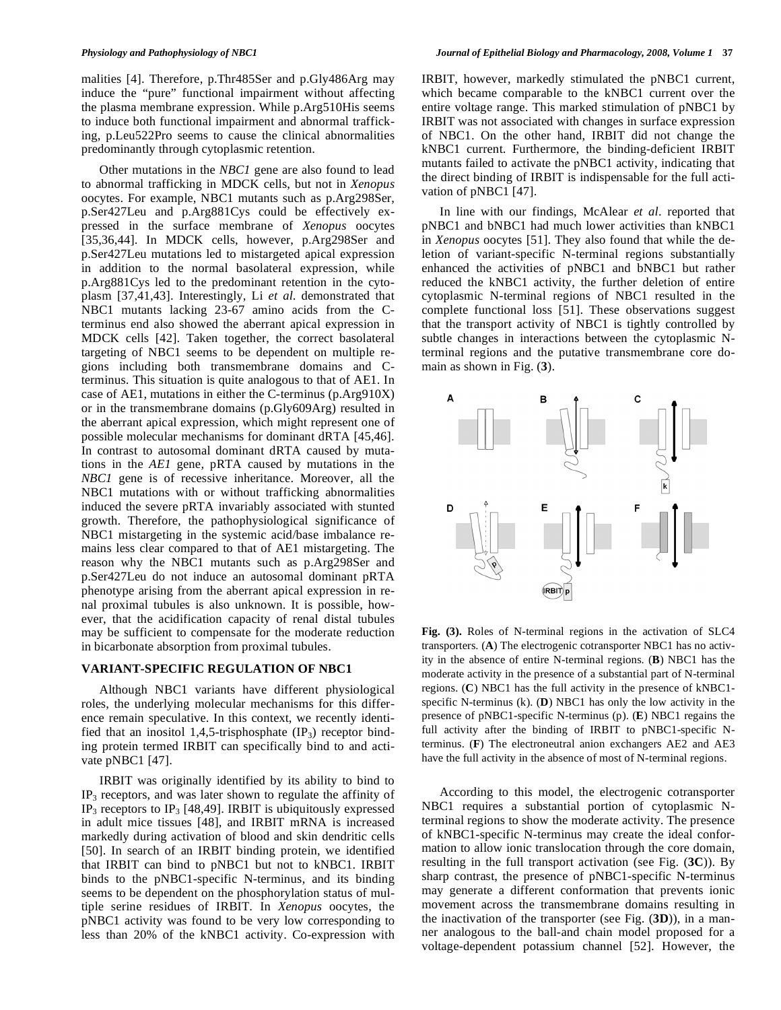malities [4]. Therefore, p.Thr485Ser and p.Gly486Arg may induce the "pure" functional impairment without affecting the plasma membrane expression. While p.Arg510His seems to induce both functional impairment and abnormal trafficking, p.Leu522Pro seems to cause the clinical abnormalities predominantly through cytoplasmic retention.

 Other mutations in the *NBC1* gene are also found to lead to abnormal trafficking in MDCK cells, but not in *Xenopus* oocytes. For example, NBC1 mutants such as p.Arg298Ser, p.Ser427Leu and p.Arg881Cys could be effectively expressed in the surface membrane of *Xenopus* oocytes [35,36,44]. In MDCK cells, however, p.Arg298Ser and p.Ser427Leu mutations led to mistargeted apical expression in addition to the normal basolateral expression, while p.Arg881Cys led to the predominant retention in the cytoplasm [37,41,43]. Interestingly, Li *et al*. demonstrated that NBC1 mutants lacking 23-67 amino acids from the Cterminus end also showed the aberrant apical expression in MDCK cells [42]. Taken together, the correct basolateral targeting of NBC1 seems to be dependent on multiple regions including both transmembrane domains and Cterminus. This situation is quite analogous to that of AE1. In case of AE1, mutations in either the C-terminus (p.Arg910X) or in the transmembrane domains (p.Gly609Arg) resulted in the aberrant apical expression, which might represent one of possible molecular mechanisms for dominant dRTA [45,46]. In contrast to autosomal dominant dRTA caused by mutations in the *AE1* gene, pRTA caused by mutations in the *NBC1* gene is of recessive inheritance. Moreover, all the NBC1 mutations with or without trafficking abnormalities induced the severe pRTA invariably associated with stunted growth. Therefore, the pathophysiological significance of NBC1 mistargeting in the systemic acid/base imbalance remains less clear compared to that of AE1 mistargeting. The reason why the NBC1 mutants such as p.Arg298Ser and p.Ser427Leu do not induce an autosomal dominant pRTA phenotype arising from the aberrant apical expression in renal proximal tubules is also unknown. It is possible, however, that the acidification capacity of renal distal tubules may be sufficient to compensate for the moderate reduction in bicarbonate absorption from proximal tubules.

### **VARIANT-SPECIFIC REGULATION OF NBC1**

 Although NBC1 variants have different physiological roles, the underlying molecular mechanisms for this difference remain speculative. In this context, we recently identified that an inositol 1,4,5-trisphosphate  $(\text{IP}_3)$  receptor binding protein termed IRBIT can specifically bind to and activate pNBC1 [47].

 IRBIT was originally identified by its ability to bind to  $IP<sub>3</sub>$  receptors, and was later shown to regulate the affinity of IP<sub>3</sub> receptors to IP<sub>3</sub> [48,49]. IRBIT is ubiquitously expressed in adult mice tissues [48], and IRBIT mRNA is increased markedly during activation of blood and skin dendritic cells [50]. In search of an IRBIT binding protein, we identified that IRBIT can bind to pNBC1 but not to kNBC1. IRBIT binds to the pNBC1-specific N-terminus, and its binding seems to be dependent on the phosphorylation status of multiple serine residues of IRBIT. In *Xenopus* oocytes, the pNBC1 activity was found to be very low corresponding to less than 20% of the kNBC1 activity. Co-expression with IRBIT, however, markedly stimulated the pNBC1 current, which became comparable to the kNBC1 current over the entire voltage range. This marked stimulation of pNBC1 by IRBIT was not associated with changes in surface expression of NBC1. On the other hand, IRBIT did not change the kNBC1 current. Furthermore, the binding-deficient IRBIT mutants failed to activate the pNBC1 activity, indicating that the direct binding of IRBIT is indispensable for the full activation of pNBC1 [47].

 In line with our findings, McAlear *et al*. reported that pNBC1 and bNBC1 had much lower activities than kNBC1 in *Xenopus* oocytes [51]. They also found that while the deletion of variant-specific N-terminal regions substantially enhanced the activities of pNBC1 and bNBC1 but rather reduced the kNBC1 activity, the further deletion of entire cytoplasmic N-terminal regions of NBC1 resulted in the complete functional loss [51]. These observations suggest that the transport activity of NBC1 is tightly controlled by subtle changes in interactions between the cytoplasmic Nterminal regions and the putative transmembrane core domain as shown in Fig. (**3**).



**Fig. (3).** Roles of N-terminal regions in the activation of SLC4 transporters. (**A**) The electrogenic cotransporter NBC1 has no activity in the absence of entire N-terminal regions. (**B**) NBC1 has the moderate activity in the presence of a substantial part of N-terminal regions. (**C**) NBC1 has the full activity in the presence of kNBC1 specific N-terminus (k). (**D**) NBC1 has only the low activity in the presence of pNBC1-specific N-terminus (p). (**E**) NBC1 regains the full activity after the binding of IRBIT to pNBC1-specific Nterminus. (**F**) The electroneutral anion exchangers AE2 and AE3 have the full activity in the absence of most of N-terminal regions.

 According to this model, the electrogenic cotransporter NBC1 requires a substantial portion of cytoplasmic Nterminal regions to show the moderate activity. The presence of kNBC1-specific N-terminus may create the ideal conformation to allow ionic translocation through the core domain, resulting in the full transport activation (see Fig. (**3C**)). By sharp contrast, the presence of pNBC1-specific N-terminus may generate a different conformation that prevents ionic movement across the transmembrane domains resulting in the inactivation of the transporter (see Fig. (**3D**)), in a manner analogous to the ball-and chain model proposed for a voltage-dependent potassium channel [52]. However, the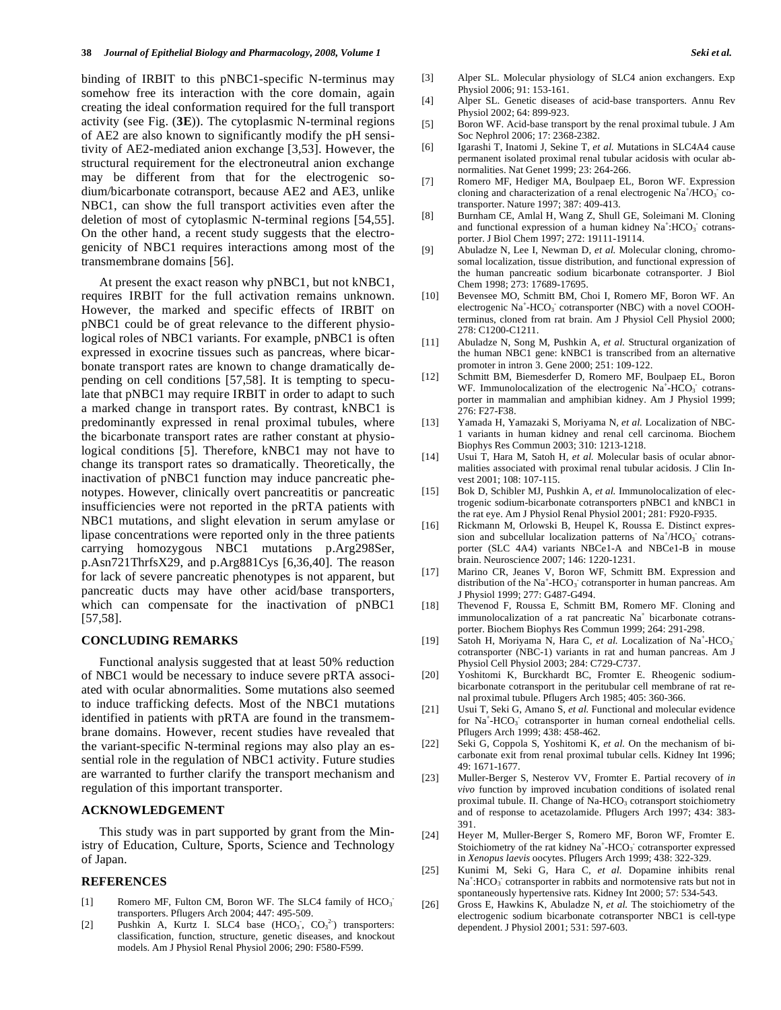binding of IRBIT to this pNBC1-specific N-terminus may somehow free its interaction with the core domain, again creating the ideal conformation required for the full transport activity (see Fig. (**3E**)). The cytoplasmic N-terminal regions of AE2 are also known to significantly modify the pH sensitivity of AE2-mediated anion exchange [3,53]. However, the structural requirement for the electroneutral anion exchange may be different from that for the electrogenic sodium/bicarbonate cotransport, because AE2 and AE3, unlike NBC1, can show the full transport activities even after the deletion of most of cytoplasmic N-terminal regions [54,55]. On the other hand, a recent study suggests that the electrogenicity of NBC1 requires interactions among most of the transmembrane domains [56].

 At present the exact reason why pNBC1, but not kNBC1, requires IRBIT for the full activation remains unknown. However, the marked and specific effects of IRBIT on pNBC1 could be of great relevance to the different physiological roles of NBC1 variants. For example, pNBC1 is often expressed in exocrine tissues such as pancreas, where bicarbonate transport rates are known to change dramatically depending on cell conditions [57,58]. It is tempting to speculate that pNBC1 may require IRBIT in order to adapt to such a marked change in transport rates. By contrast, kNBC1 is predominantly expressed in renal proximal tubules, where the bicarbonate transport rates are rather constant at physiological conditions [5]. Therefore, kNBC1 may not have to change its transport rates so dramatically. Theoretically, the inactivation of pNBC1 function may induce pancreatic phenotypes. However, clinically overt pancreatitis or pancreatic insufficiencies were not reported in the pRTA patients with NBC1 mutations, and slight elevation in serum amylase or lipase concentrations were reported only in the three patients carrying homozygous NBC1 mutations p.Arg298Ser, p.Asn721ThrfsX29, and p.Arg881Cys [6,36,40]. The reason for lack of severe pancreatic phenotypes is not apparent, but pancreatic ducts may have other acid/base transporters, which can compensate for the inactivation of pNBC1 [57,58].

#### **CONCLUDING REMARKS**

 Functional analysis suggested that at least 50% reduction of NBC1 would be necessary to induce severe pRTA associated with ocular abnormalities. Some mutations also seemed to induce trafficking defects. Most of the NBC1 mutations identified in patients with pRTA are found in the transmembrane domains. However, recent studies have revealed that the variant-specific N-terminal regions may also play an essential role in the regulation of NBC1 activity. Future studies are warranted to further clarify the transport mechanism and regulation of this important transporter.

### **ACKNOWLEDGEMENT**

 This study was in part supported by grant from the Ministry of Education, Culture, Sports, Science and Technology of Japan.

## **REFERENCES**

- [1] Romero MF, Fulton CM, Boron WF. The SLC4 family of HCO<sub>3</sub> transporters. Pflugers Arch 2004; 447: 495-509.
- [2] Pushkin A, Kurtz I. SLC4 base  $(HCO<sub>3</sub>, CO<sub>3</sub><sup>2</sup>)$  transporters: classification, function, structure, genetic diseases, and knockout models. Am J Physiol Renal Physiol 2006; 290: F580-F599.
- [3] Alper SL. Molecular physiology of SLC4 anion exchangers. Exp Physiol 2006; 91: 153-161.
- [4] Alper SL. Genetic diseases of acid-base transporters. Annu Rev Physiol 2002; 64: 899-923.
- [5] Boron WF. Acid-base transport by the renal proximal tubule. J Am Soc Nephrol 2006; 17: 2368-2382.
- [6] Igarashi T, Inatomi J, Sekine T*, et al.* Mutations in SLC4A4 cause permanent isolated proximal renal tubular acidosis with ocular abnormalities. Nat Genet 1999; 23: 264-266.
- [7] Romero MF, Hediger MA, Boulpaep EL, Boron WF. Expression cloning and characterization of a renal electrogenic  $Na^+/HCO_3$  cotransporter. Nature 1997; 387: 409-413.
- [8] Burnham CE, Amlal H, Wang Z, Shull GE, Soleimani M. Cloning and functional expression of a human kidney  $Na^+$ :HCO<sub>3</sub> cotransporter. J Biol Chem 1997; 272: 19111-19114.
- [9] Abuladze N, Lee I, Newman D*, et al.* Molecular cloning, chromosomal localization, tissue distribution, and functional expression of the human pancreatic sodium bicarbonate cotransporter. J Biol Chem 1998; 273: 17689-17695.
- [10] Bevensee MO, Schmitt BM, Choi I, Romero MF, Boron WF. An electrogenic Na<sup>+</sup>-HCO<sub>3</sub> cotransporter (NBC) with a novel COOHterminus, cloned from rat brain. Am J Physiol Cell Physiol 2000; 278: C1200-C1211.
- [11] Abuladze N, Song M, Pushkin A*, et al.* Structural organization of the human NBC1 gene: kNBC1 is transcribed from an alternative promoter in intron 3. Gene 2000; 251: 109-122.
- [12] Schmitt BM, Biemesderfer D, Romero MF, Boulpaep EL, Boron WF. Immunolocalization of the electrogenic  $Na^+$ -HCO<sub>3</sub> cotransporter in mammalian and amphibian kidney. Am J Physiol 1999; 276: F27-F38.
- [13] Yamada H, Yamazaki S, Moriyama N*, et al.* Localization of NBC-1 variants in human kidney and renal cell carcinoma. Biochem Biophys Res Commun 2003; 310: 1213-1218.
- [14] Usui T, Hara M, Satoh H*, et al.* Molecular basis of ocular abnormalities associated with proximal renal tubular acidosis. J Clin Invest 2001; 108: 107-115.
- [15] Bok D, Schibler MJ, Pushkin A*, et al.* Immunolocalization of electrogenic sodium-bicarbonate cotransporters pNBC1 and kNBC1 in the rat eye. Am J Physiol Renal Physiol 2001; 281: F920-F935.
- [16] Rickmann M, Orlowski B, Heupel K, Roussa E. Distinct expression and subcellular localization patterns of Na<sup>+</sup>/HCO<sub>3</sub> cotransporter (SLC 4A4) variants NBCe1-A and NBCe1-B in mouse brain. Neuroscience 2007; 146: 1220-1231.
- [17] Marino CR, Jeanes V, Boron WF, Schmitt BM. Expression and distribution of the Na<sup>+</sup>-HCO<sub>3</sub> cotransporter in human pancreas. Am J Physiol 1999; 277: G487-G494.
- [18] Thevenod F, Roussa E, Schmitt BM, Romero MF. Cloning and immunolocalization of a rat pancreatic Na<sup>+</sup> bicarbonate cotransporter. Biochem Biophys Res Commun 1999; 264: 291-298.
- [19] Satoh H, Moriyama N, Hara C, et al. Localization of Na<sup>+</sup>-HCO<sub>3</sub> cotransporter (NBC-1) variants in rat and human pancreas. Am J Physiol Cell Physiol 2003; 284: C729-C737.
- [20] Yoshitomi K, Burckhardt BC, Fromter E. Rheogenic sodiumbicarbonate cotransport in the peritubular cell membrane of rat renal proximal tubule. Pflugers Arch 1985; 405: 360-366.
- [21] Usui T, Seki G, Amano S*, et al.* Functional and molecular evidence for Na<sup>+</sup>-HCO<sub>3</sub> cotransporter in human corneal endothelial cells. Pflugers Arch 1999; 438: 458-462.
- [22] Seki G, Coppola S, Yoshitomi K*, et al.* On the mechanism of bicarbonate exit from renal proximal tubular cells. Kidney Int 1996; 49: 1671-1677.
- [23] Muller-Berger S, Nesterov VV, Fromter E. Partial recovery of *in vivo* function by improved incubation conditions of isolated renal proximal tubule. II. Change of Na-HCO<sub>3</sub> cotransport stoichiometry and of response to acetazolamide. Pflugers Arch 1997; 434: 383- 391.
- [24] Heyer M, Muller-Berger S, Romero MF, Boron WF, Fromter E. Stoichiometry of the rat kidney Na<sup>+</sup>-HCO<sub>3</sub> cotransporter expressed in *Xenopus laevis* oocytes. Pflugers Arch 1999; 438: 322-329.
- [25] Kunimi M, Seki G, Hara C*, et al.* Dopamine inhibits renal Na<sup>+</sup>:HCO<sub>3</sub> cotransporter in rabbits and normotensive rats but not in spontaneously hypertensive rats. Kidney Int 2000; 57: 534-543.
- [26] Gross E, Hawkins K, Abuladze N*, et al.* The stoichiometry of the electrogenic sodium bicarbonate cotransporter NBC1 is cell-type dependent. J Physiol 2001; 531: 597-603.